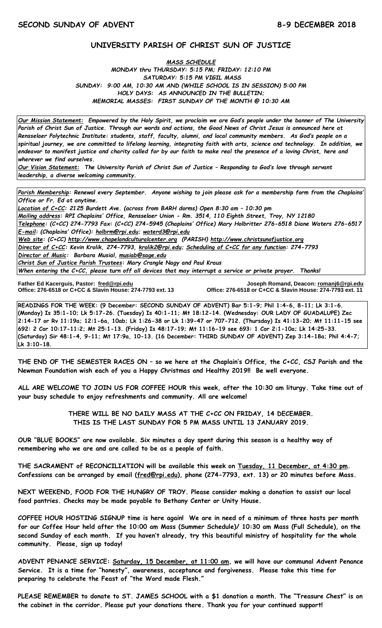# **UNIVERSITY PARISH OF CHRIST SUN OF JUSTICE**

#### *MASS SCHEDULE MONDAY thru THURSDAY: 5:15 PM; FRIDAY: 12:10 PM SATURDAY: 5:15 PM VIGIL MASS SUNDAY: 9:00 AM, 10:30 AM AND (WHILE SCHOOL IS IN SESSION) 5:00 PM HOLY DAYS: AS ANNOUNCED IN THE BULLETIN; MEMORIAL MASSES: FIRST SUNDAY OF THE MONTH @ 10:30 AM*

*Our Mission Statement:**Empowered by the Holy Spirit, we proclaim we are God's people under the banner of The University Parish of Christ Sun of Justice. Through our words and actions, the Good News of Christ Jesus is announced here at Rensselaer Polytechnic Institute: students, staff, faculty, alumni, and local community members. As God's people on a spiritual journey, we are committed to lifelong learning, integrating faith with arts, science and technology. In addition, we endeavor to manifest justice and charity called for by our faith to make real the presence of a loving Christ, here and wherever we find ourselves.*

*Our Vision Statement: The University Parish of Christ Sun of Justice – Responding to God's love through servant leadership, a diverse welcoming community.*

*Parish Membership: Renewal every September. Anyone wishing to join please ask for a membership form from the Chaplains' Office or Fr. Ed at anytime. Location of C+CC: 2125 Burdett Ave. (across from BARH dorms) Open 8:30 am – 10:30 pm Mailing address: RPI Chaplains' Office, Rensselaer Union - Rm. 3514, 110 Eighth Street, Troy, NY 12180 Telephone: (C+CC) 274-7793 Fax: (C+CC) 274-5945 (Chaplains' Office) Mary Holbritter 276-6518 Diane Waters 276-6517 E-mail: (Chaplains' Office): [holbrm@rpi.edu;](mailto:holbrm@rpi.edu) waterd3@rpi.edu Web site: (C+CC) [http://www.chapelandculturalcenter.org](http://www.chapelandculturalcenter.org/) (PARISH) http://www.christsunofjustice.org Director of C+CC: Kevin Krolik, 274-7793, krolik2@rpi.edu; Scheduling of C+CC for any function: 274-7793 Director of Music: Barbara Musial, [musiab@sage.edu](mailto:musiab@sage.edu) Christ Sun of Justice Parish Trustees: Mary Crangle Nagy and Paul Kraus When entering the C+CC, please turn off all devices that may interrupt a service or private prayer. Thanks!*

**Office: 276-6518 or C+CC & Slavin House: 274-7793 ext. 13** 

**Father Ed Kacerguis, Pastor: [fred@rpi.edu](mailto:fred@rpi.edu) Joseph Romand, Deacon[: romanj6@rpi.edu](mailto:romanj6@rpi.edu)**

**READINGS FOR THE WEEK: (9 December: SECOND SUNDAY OF ADVENT) Bar 5:1-9; Phil 1:4-6, 8-11; Lk 3:1-6. (Monday) Is 35:1-10; Lk 5:17-26. (Tuesday) Is 40:1-11; Mt 18:12-14. (Wednesday: OUR LADY OF GUADALUPE) Zec 2:14-17 or Rv 11:19a; 12:1-6a, 10ab; Lk 1:26-38 or Lk 1:39-47 or 707-712. (Thursday) Is 41:13-20; Mt 11:11-15 see 692: 2 Cor 10:17-11:2; Mt 25:1-13. (Friday) Is 48:17-19; Mt 11:16-19 see 693: 1 Cor 2:1-10a; Lk 14:25-33. (Saturday) Sir 48:1-4, 9-11; Mt 17:9a, 10-13. (16 December: THIRD SUNDAY OF ADVENT) Zep 3:14-18a; Phil 4:4-7; Lk 3:10-18.**

**THE END OF THE SEMESTER RACES ON – so we here at the Chaplain's Office, the C+CC, CSJ Parish and the Newman Foundation wish each of you a Happy Christmas and Healthy 2019!! Be well everyone.**

**ALL ARE WELCOME TO JOIN US FOR COFFEE HOUR this week, after the 10:30 am liturgy. Take time out of your busy schedule to enjoy refreshments and community. All are welcome!**

> **THERE WILL BE NO DAILY MASS AT THE C+CC ON FRIDAY, 14 DECEMBER. THIS IS THE LAST SUNDAY FOR 5 PM MASS UNTIL 13 JANUARY 2019.**

**OUR "BLUE BOOKS" are now available. Six minutes a day spent during this season is a healthy way of remembering who we are and are called to be as a people of faith.**

**THE SACRAMENT of RECONCILIATION will be available this week on Tuesday, 11 December, at 4:30 pm. Confessions can be arranged by email [\(fred@rpi.edu\)](mailto:fred@rpi.edu), phone (274-7793, ext. 13) or 20 minutes before Mass.**

**NEXT WEEKEND, FOOD FOR THE HUNGRY OF TROY. Please consider making a donation to assist our local food pantries. Checks may be made payable to Bethany Center or Unity House.**

**COFFEE HOUR HOSTING SIGNUP time is here again! We are in need of a minimum of three hosts per month for our Coffee Hour held after the 10:00 am Mass (Summer Schedule)/ 10:30 am Mass (Full Schedule), on the second Sunday of each month. If you haven't already, try this beautiful ministry of hospitality for the whole community. Please, sign up today!** 

**ADVENT PENANCE SERVICE: Saturday, 15 December, at 11:00 am, we will have our communal Advent Penance Service. It is a time for "honesty", awareness, acceptance and forgiveness. Please take this time for preparing to celebrate the Feast of "the Word made Flesh."**

**PLEASE REMEMBER to donate to ST. JAMES SCHOOL with a \$1 donation a month. The "Treasure Chest" is on the cabinet in the corridor. Please put your donations there. Thank you for your continued support!**